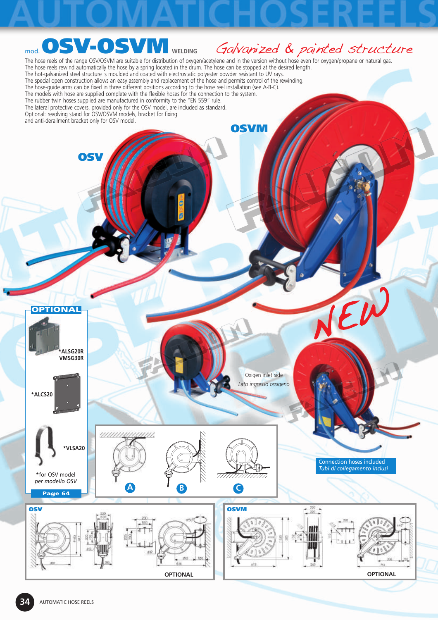